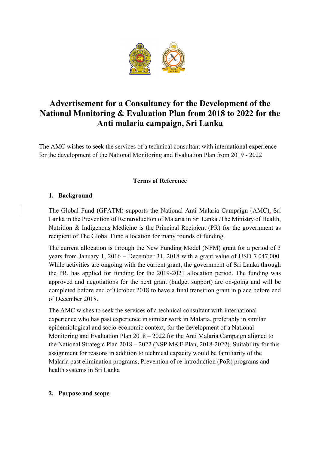

# **Advertisement for a Consultancy for the Development of the National Monitoring & Evaluation Plan from 2018 to 2022 for the Anti malaria campaign, Sri Lanka**

The AMC wishes to seek the services of a technical consultant with international experience for the development of the National Monitoring and Evaluation Plan from 2019 - 2022

## **Terms of Reference**

## **1. Background**

The Global Fund (GFATM) supports the National Anti Malaria Campaign (AMC), Sri Lanka in the Prevention of Reintroduction of Malaria in Sri Lanka .The Ministry of Health, Nutrition & Indigenous Medicine is the Principal Recipient (PR) for the government as recipient of The Global Fund allocation for many rounds of funding.

The current allocation is through the New Funding Model (NFM) grant for a period of 3 years from January 1, 2016 – December 31, 2018 with a grant value of USD 7,047,000. While activities are ongoing with the current grant, the government of Sri Lanka through the PR, has applied for funding for the 2019-2021 allocation period. The funding was approved and negotiations for the next grant (budget support) are on-going and will be completed before end of October 2018 to have a final transition grant in place before end of December 2018.

The AMC wishes to seek the services of a technical consultant with international experience who has past experience in similar work in Malaria, preferably in similar epidemiological and socio-economic context, for the development of a National Monitoring and Evaluation Plan 2018 – 2022 for the Anti Malaria Campaign aligned to the National Strategic Plan 2018 – 2022 (NSP M&E Plan, 2018-2022). Suitability for this assignment for reasons in addition to technical capacity would be familiarity of the Malaria past elimination programs, Prevention of re-introduction (PoR) programs and health systems in Sri Lanka

#### **2. Purpose and scope**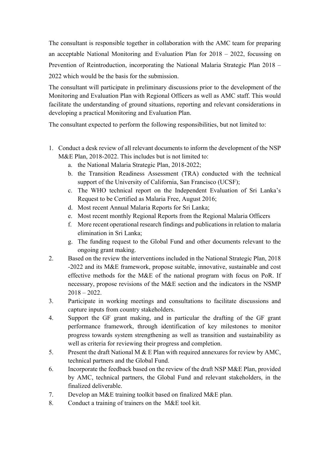The consultant is responsible together in collaboration with the AMC team for preparing an acceptable National Monitoring and Evaluation Plan for 2018 – 2022, focussing on Prevention of Reintroduction, incorporating the National Malaria Strategic Plan 2018 – 2022 which would be the basis for the submission.

The consultant will participate in preliminary discussions prior to the development of the Monitoring and Evaluation Plan with Regional Officers as well as AMC staff. This would facilitate the understanding of ground situations, reporting and relevant considerations in developing a practical Monitoring and Evaluation Plan.

The consultant expected to perform the following responsibilities, but not limited to:

- 1. Conduct a desk review of all relevant documents to inform the development of the NSP M&E Plan, 2018-2022. This includes but is not limited to:
	- a. the National Malaria Strategic Plan, 2018-2022;
	- b. the Transition Readiness Assessment (TRA) conducted with the technical support of the University of California, San Francisco (UCSF);
	- c. The WHO technical report on the Independent Evaluation of Sri Lanka's Request to be Certified as Malaria Free, August 2016;
	- d. Most recent Annual Malaria Reports for Sri Lanka;
	- e. Most recent monthly Regional Reports from the Regional Malaria Officers
	- f. More recent operational research findings and publications in relation to malaria elimination in Sri Lanka;
	- g. The funding request to the Global Fund and other documents relevant to the ongoing grant making.
- 2. Based on the review the interventions included in the National Strategic Plan, 2018 -2022 and its M&E framework, propose suitable, innovative, sustainable and cost effective methods for the M&E of the national program with focus on PoR. If necessary, propose revisions of the M&E section and the indicators in the NSMP  $2018 - 2022$ .
- 3. Participate in working meetings and consultations to facilitate discussions and capture inputs from country stakeholders.
- 4. Support the GF grant making, and in particular the drafting of the GF grant performance framework, through identification of key milestones to monitor progress towards system strengthening as well as transition and sustainability as well as criteria for reviewing their progress and completion.
- 5. Present the draft National M & E Plan with required annexures for review by AMC, technical partners and the Global Fund.
- 6. Incorporate the feedback based on the review of the draft NSP M&E Plan, provided by AMC, technical partners, the Global Fund and relevant stakeholders, in the finalized deliverable.
- 7. Develop an M&E training toolkit based on finalized M&E plan.
- 8. Conduct a training of trainers on the M&E tool kit.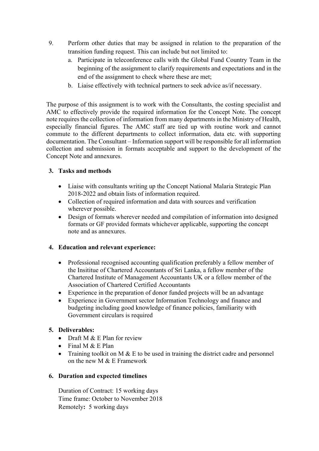- 9. Perform other duties that may be assigned in relation to the preparation of the transition funding request. This can include but not limited to:
	- a. Participate in teleconference calls with the Global Fund Country Team in the beginning of the assignment to clarify requirements and expectations and in the end of the assignment to check where these are met;
	- b. Liaise effectively with technical partners to seek advice as/if necessary.

The purpose of this assignment is to work with the Consultants, the costing specialist and AMC to effectively provide the required information for the Concept Note. The concept note requires the collection of information from many departments in the Ministry of Health, especially financial figures. The AMC staff are tied up with routine work and cannot commute to the different departments to collect information, data etc. with supporting documentation. The Consultant – Information support will be responsible for all information collection and submission in formats acceptable and support to the development of the Concept Note and annexures.

## **3. Tasks and methods**

- Liaise with consultants writing up the Concept National Malaria Strategic Plan 2018-2022 and obtain lists of information required.
- Collection of required information and data with sources and verification wherever possible.
- Design of formats wherever needed and compilation of information into designed formats or GF provided formats whichever applicable, supporting the concept note and as annexures.

## **4. Education and relevant experience:**

- Professional recognised accounting qualification preferably a fellow member of the Insititue of Chartered Accountants of Sri Lanka, a fellow member of the Chartered Institute of Management Accountants UK or a fellow member of the Association of Chartered Certified Accountants
- Experience in the preparation of donor funded projects will be an advantage
- Experience in Government sector Information Technology and finance and budgeting including good knowledge of finance policies, familiarity with Government circulars is required

## **5. Deliverables:**

- Draft M  $&$  E Plan for review
- Final M  $& \text{E Plan}$
- Training toolkit on M  $\&$  E to be used in training the district cadre and personnel on the new M & E Framework

#### **6. Duration and expected timelines**

Duration of Contract: 15 working days Time frame: October to November 2018 Remotely**:** 5 working days